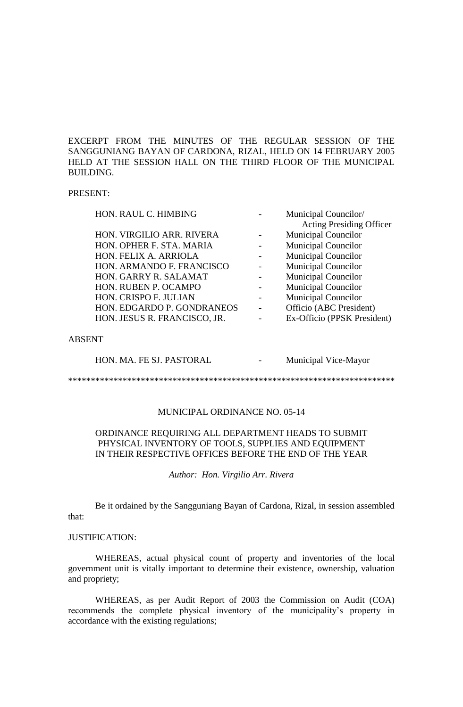EXCERPT FROM THE MINUTES OF THE REGULAR SESSION OF THE SANGGUNIANG BAYAN OF CARDONA, RIZAL, HELD ON 14 FEBRUARY 2005 HELD AT THE SESSION HALL ON THE THIRD FLOOR OF THE MUNICIPAL BUILDING.

### PRESENT:

| HON. RAUL C. HIMBING         | Municipal Councilor/            |
|------------------------------|---------------------------------|
|                              | <b>Acting Presiding Officer</b> |
| HON. VIRGILIO ARR. RIVERA    | <b>Municipal Councilor</b>      |
| HON. OPHER F. STA. MARIA     | <b>Municipal Councilor</b>      |
| HON. FELIX A. ARRIOLA        | <b>Municipal Councilor</b>      |
| HON. ARMANDO F. FRANCISCO    | <b>Municipal Councilor</b>      |
| HON. GARRY R. SALAMAT        | <b>Municipal Councilor</b>      |
| HON. RUBEN P. OCAMPO         | <b>Municipal Councilor</b>      |
| HON. CRISPO F. JULIAN        | <b>Municipal Councilor</b>      |
| HON. EDGARDO P. GONDRANEOS   | Officio (ABC President)         |
| HON. JESUS R. FRANCISCO, JR. | Ex-Officio (PPSK President)     |
|                              |                                 |

### ABSENT

HON. MA. FE SJ. PASTORAL - Municipal Vice-Mayor

\*\*\*\*\*\*\*\*\*\*\*\*\*\*\*\*\*\*\*\*\*\*\*\*\*\*\*\*\*\*\*\*\*\*\*\*\*\*\*\*\*\*\*\*\*\*\*\*\*\*\*\*\*\*\*\*\*\*\*\*\*\*\*\*\*\*\*\*\*\*\*\*

## MUNICIPAL ORDINANCE NO. 05-14

## ORDINANCE REQUIRING ALL DEPARTMENT HEADS TO SUBMIT PHYSICAL INVENTORY OF TOOLS, SUPPLIES AND EQUIPMENT IN THEIR RESPECTIVE OFFICES BEFORE THE END OF THE YEAR

*Author: Hon. Virgilio Arr. Rivera*

Be it ordained by the Sangguniang Bayan of Cardona, Rizal, in session assembled that:

#### JUSTIFICATION:

WHEREAS, actual physical count of property and inventories of the local government unit is vitally important to determine their existence, ownership, valuation and propriety;

WHEREAS, as per Audit Report of 2003 the Commission on Audit (COA) recommends the complete physical inventory of the municipality's property in accordance with the existing regulations;